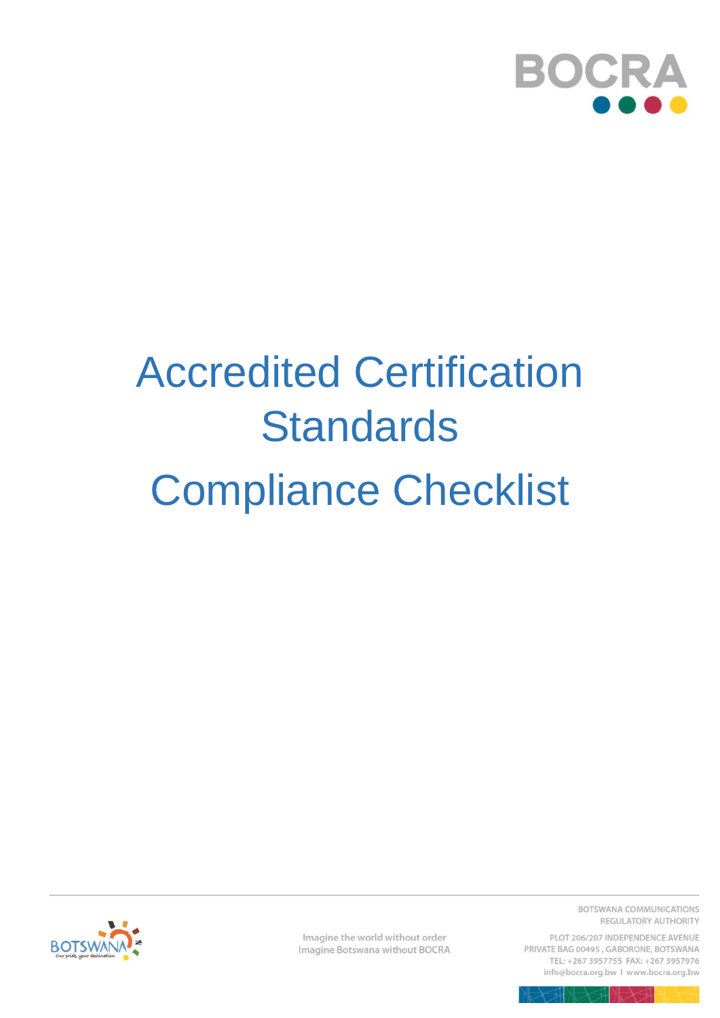

## **Accredited Certification Standards Compliance Checklist**



Imagine the world without order Imagine Botswana without BOCRA BOTSWANA COMMUNICATIONS REGULATORY AUTHORITY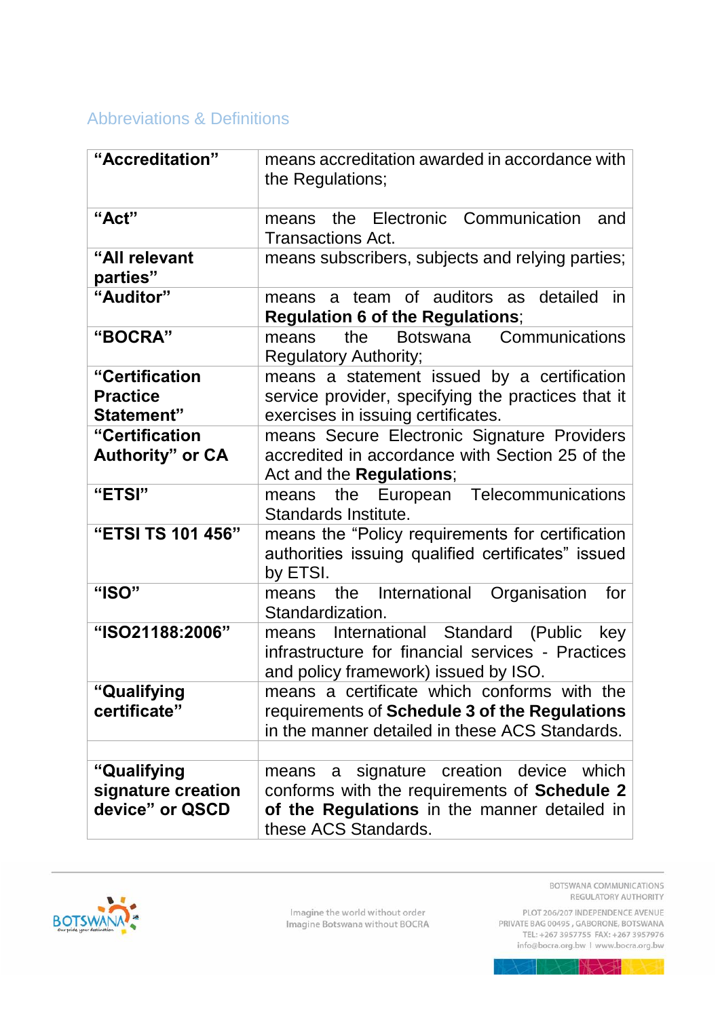## **Abbreviations & Definitions**

| "Accreditation"           | means accreditation awarded in accordance with<br>the Regulations;                                                                          |  |  |
|---------------------------|---------------------------------------------------------------------------------------------------------------------------------------------|--|--|
| "Act"                     | the Electronic Communication<br>and<br>means<br>Transactions Act.                                                                           |  |  |
| "All relevant<br>parties" | means subscribers, subjects and relying parties;                                                                                            |  |  |
| "Auditor"                 | means a team of auditors as detailed<br><i>in</i><br><b>Regulation 6 of the Regulations;</b>                                                |  |  |
| "BOCRA"                   | Botswana Communications<br>the<br>means<br><b>Regulatory Authority;</b>                                                                     |  |  |
| "Certification            | means a statement issued by a certification                                                                                                 |  |  |
| <b>Practice</b>           | service provider, specifying the practices that it                                                                                          |  |  |
| Statement"                | exercises in issuing certificates.                                                                                                          |  |  |
| "Certification            | means Secure Electronic Signature Providers                                                                                                 |  |  |
| <b>Authority" or CA</b>   | accredited in accordance with Section 25 of the                                                                                             |  |  |
|                           | Act and the <b>Regulations</b> ;                                                                                                            |  |  |
| "ETSI"                    | European Telecommunications<br>the<br>means<br>Standards Institute.                                                                         |  |  |
| "ETSI TS 101 456"         | means the "Policy requirements for certification<br>authorities issuing qualified certificates" issued<br>by ETSI.                          |  |  |
| "ISO"                     | International<br>Organisation<br>the<br>for<br>means<br>Standardization.                                                                    |  |  |
| "ISO21188:2006"           | International Standard (Public<br>key<br>means<br>infrastructure for financial services - Practices<br>and policy framework) issued by ISO. |  |  |
| "Qualifying               | means a certificate which conforms with the                                                                                                 |  |  |
| certificate"              | requirements of Schedule 3 of the Regulations                                                                                               |  |  |
|                           | in the manner detailed in these ACS Standards.                                                                                              |  |  |
|                           |                                                                                                                                             |  |  |
| "Qualifying               | signature creation device which<br>means<br>a                                                                                               |  |  |
| signature creation        | conforms with the requirements of Schedule 2                                                                                                |  |  |
| device" or QSCD           | of the Regulations in the manner detailed in                                                                                                |  |  |
|                           | these ACS Standards.                                                                                                                        |  |  |



Imagine the world without order<br>Imagine Botswana without BOCRA

BOTSWANA COMMUNICATIONS REGULATORY AUTHORITY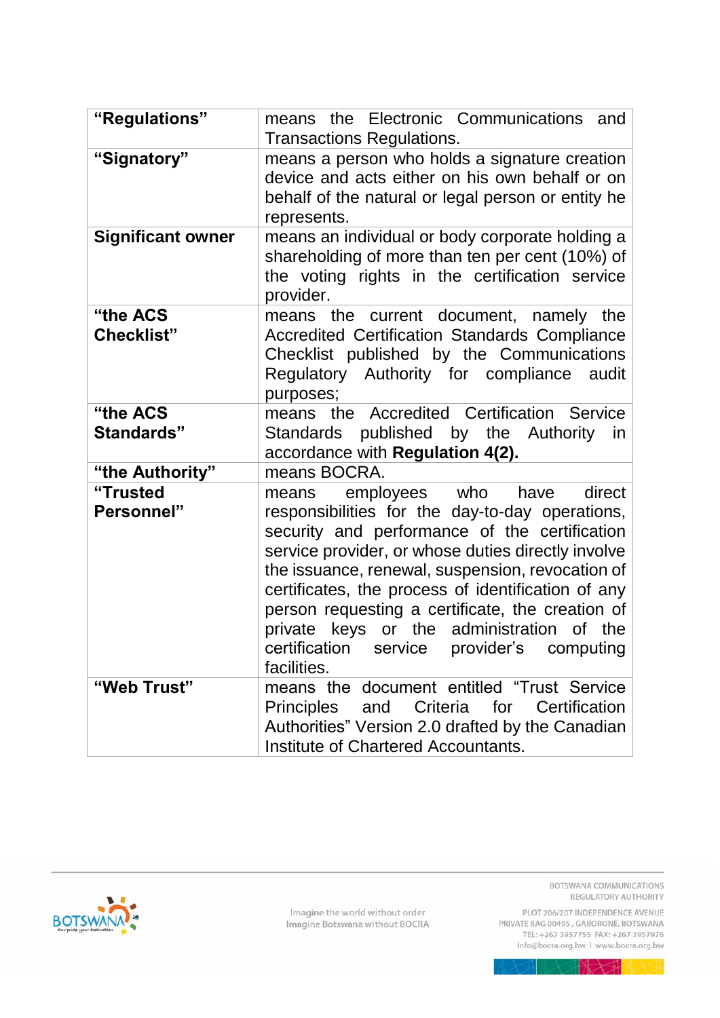| "Regulations"                 | means the Electronic Communications<br>and<br><b>Transactions Regulations.</b>                                                                                                                                                                                                                                                                                                                                                                                                |  |  |  |
|-------------------------------|-------------------------------------------------------------------------------------------------------------------------------------------------------------------------------------------------------------------------------------------------------------------------------------------------------------------------------------------------------------------------------------------------------------------------------------------------------------------------------|--|--|--|
| "Signatory"                   | means a person who holds a signature creation<br>device and acts either on his own behalf or on<br>behalf of the natural or legal person or entity he<br>represents.                                                                                                                                                                                                                                                                                                          |  |  |  |
| <b>Significant owner</b>      | means an individual or body corporate holding a<br>shareholding of more than ten per cent (10%) of<br>the voting rights in the certification service<br>provider.                                                                                                                                                                                                                                                                                                             |  |  |  |
| "the ACS<br><b>Checklist"</b> | means the current document, namely the<br><b>Accredited Certification Standards Compliance</b><br>Checklist published by the Communications<br>Regulatory Authority for compliance<br>audit<br>purposes;                                                                                                                                                                                                                                                                      |  |  |  |
| "the ACS<br>Standards"        | means the Accredited Certification Service<br>Standards published by the Authority<br>in.<br>accordance with Regulation 4(2).                                                                                                                                                                                                                                                                                                                                                 |  |  |  |
| "the Authority"               | means BOCRA.                                                                                                                                                                                                                                                                                                                                                                                                                                                                  |  |  |  |
| "Trusted<br><b>Personnel"</b> | direct<br>employees who have<br>means<br>responsibilities for the day-to-day operations,<br>security and performance of the certification<br>service provider, or whose duties directly involve<br>the issuance, renewal, suspension, revocation of<br>certificates, the process of identification of any<br>person requesting a certificate, the creation of<br>administration of the<br>keys or the<br>private<br>certification service provider's computing<br>facilities. |  |  |  |
| "Web Trust"                   | means the document entitled "Trust Service"<br>Criteria<br>for<br>Certification<br><b>Principles</b><br>and<br>Authorities" Version 2.0 drafted by the Canadian<br>Institute of Chartered Accountants.                                                                                                                                                                                                                                                                        |  |  |  |

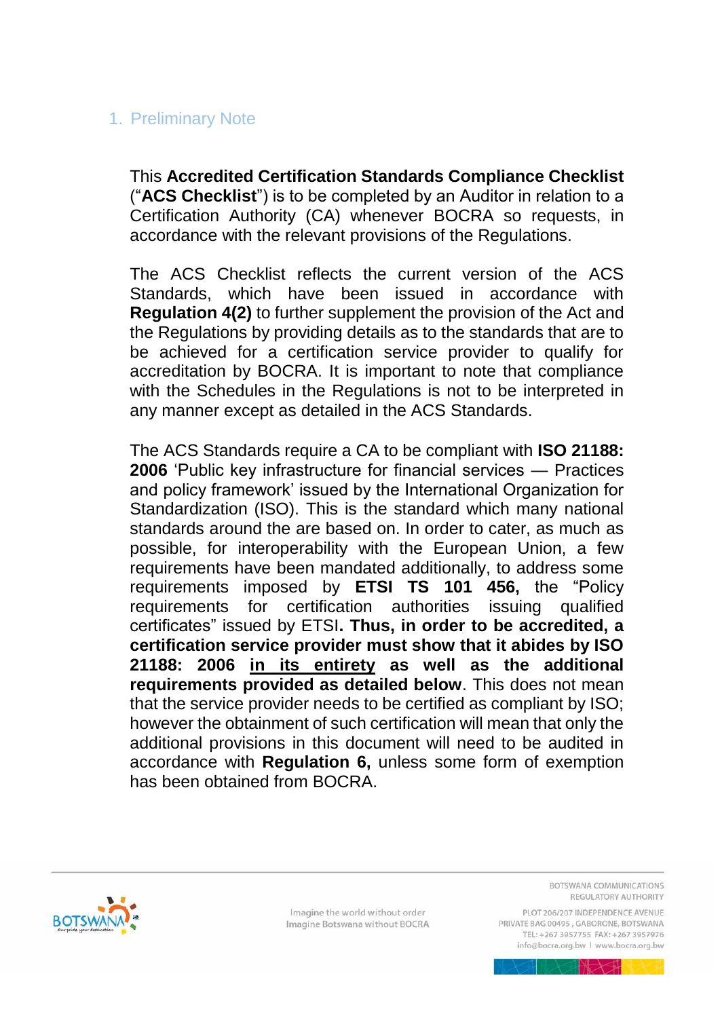## 1. Preliminary Note

This **Accredited Certification Standards Compliance Checklist** ("**ACS Checklist**") is to be completed by an Auditor in relation to a Certification Authority (CA) whenever BOCRA so requests, in accordance with the relevant provisions of the Regulations.

The ACS Checklist reflects the current version of the ACS Standards, which have been issued in accordance with **Regulation 4(2)** to further supplement the provision of the Act and the Regulations by providing details as to the standards that are to be achieved for a certification service provider to qualify for accreditation by BOCRA. It is important to note that compliance with the Schedules in the Regulations is not to be interpreted in any manner except as detailed in the ACS Standards.

The ACS Standards require a CA to be compliant with **ISO 21188: 2006** 'Public key infrastructure for financial services — Practices and policy framework' issued by the International Organization for Standardization (ISO). This is the standard which many national standards around the are based on. In order to cater, as much as possible, for interoperability with the European Union, a few requirements have been mandated additionally, to address some requirements imposed by **ETSI TS 101 456,** the "Policy requirements for certification authorities issuing qualified certificates" issued by ETSI**. Thus, in order to be accredited, a certification service provider must show that it abides by ISO 21188: 2006 in its entirety as well as the additional requirements provided as detailed below**. This does not mean that the service provider needs to be certified as compliant by ISO; however the obtainment of such certification will mean that only the additional provisions in this document will need to be audited in accordance with **Regulation 6,** unless some form of exemption has been obtained from BOCRA.



Imagine the world without order Imagine Botswana without BOCRA BOTSWANA COMMUNICATIONS REGULATORY AUTHORITY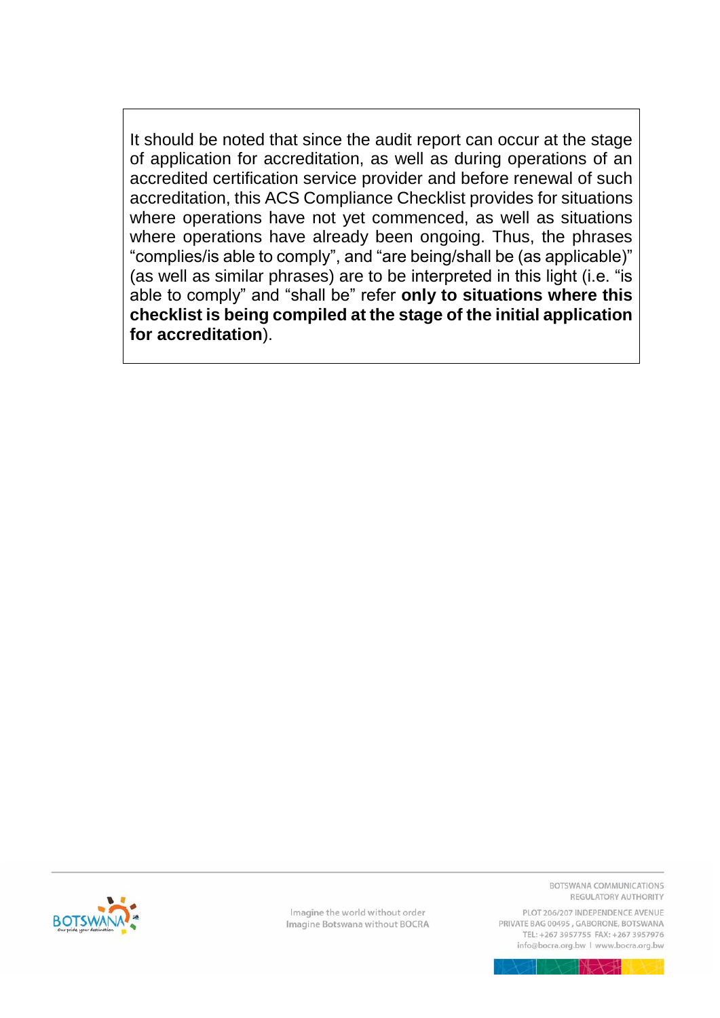It should be noted that since the audit report can occur at the stage of application for accreditation, as well as during operations of an accredited certification service provider and before renewal of such accreditation, this ACS Compliance Checklist provides for situations where operations have not yet commenced, as well as situations where operations have already been ongoing. Thus, the phrases "complies/is able to comply", and "are being/shall be (as applicable)" (as well as similar phrases) are to be interpreted in this light (i.e. "is able to comply" and "shall be" refer only to situations where this checklist is being compiled at the stage of the initial application for accreditation).



Imagine the world without order Imagine Botswana without BOCRA BOTSWANA COMMUNICATIONS REGULATORY AUTHORITY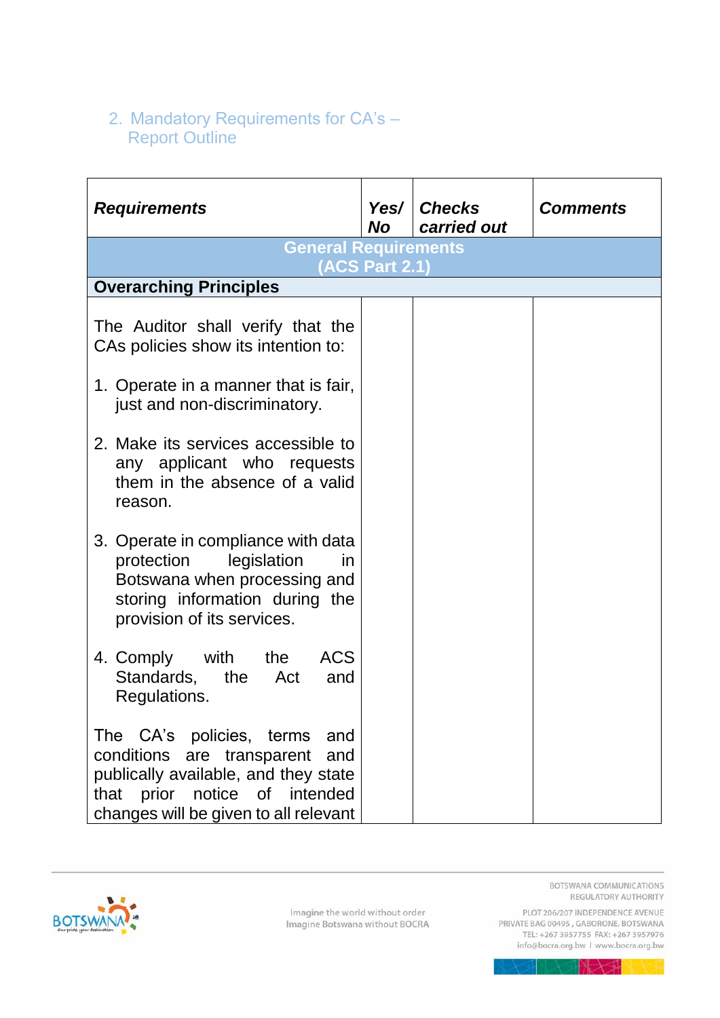## 2. Mandatory Requirements for CA's -<br>Report Outline

| <b>Requirements</b>                                                                                                                                                                    | <b>No</b>             | Yes/ Checks<br>carried out | <b>Comments</b> |
|----------------------------------------------------------------------------------------------------------------------------------------------------------------------------------------|-----------------------|----------------------------|-----------------|
| <b>General Requirements</b>                                                                                                                                                            | <b>(ACS Part 2.1)</b> |                            |                 |
| <b>Overarching Principles</b>                                                                                                                                                          |                       |                            |                 |
| The Auditor shall verify that the<br>CAs policies show its intention to:                                                                                                               |                       |                            |                 |
| 1. Operate in a manner that is fair,<br>just and non-discriminatory.                                                                                                                   |                       |                            |                 |
| 2. Make its services accessible to<br>any applicant who requests<br>them in the absence of a valid<br>reason.                                                                          |                       |                            |                 |
| 3. Operate in compliance with data<br>protection<br>legislation<br>in<br>Botswana when processing and<br>storing information during the<br>provision of its services.                  |                       |                            |                 |
| <b>ACS</b><br>4. Comply<br>with the<br>Standards,<br>the Act<br>and<br>Regulations.                                                                                                    |                       |                            |                 |
| The CA's policies, terms<br>and<br>conditions are transparent<br>and<br>publically available, and they state<br>that prior notice of intended<br>changes will be given to all relevant |                       |                            |                 |



Imagine the world without order Imagine Botswana without BOCRA BOTSWANA COMMUNICATIONS REGULATORY AUTHORITY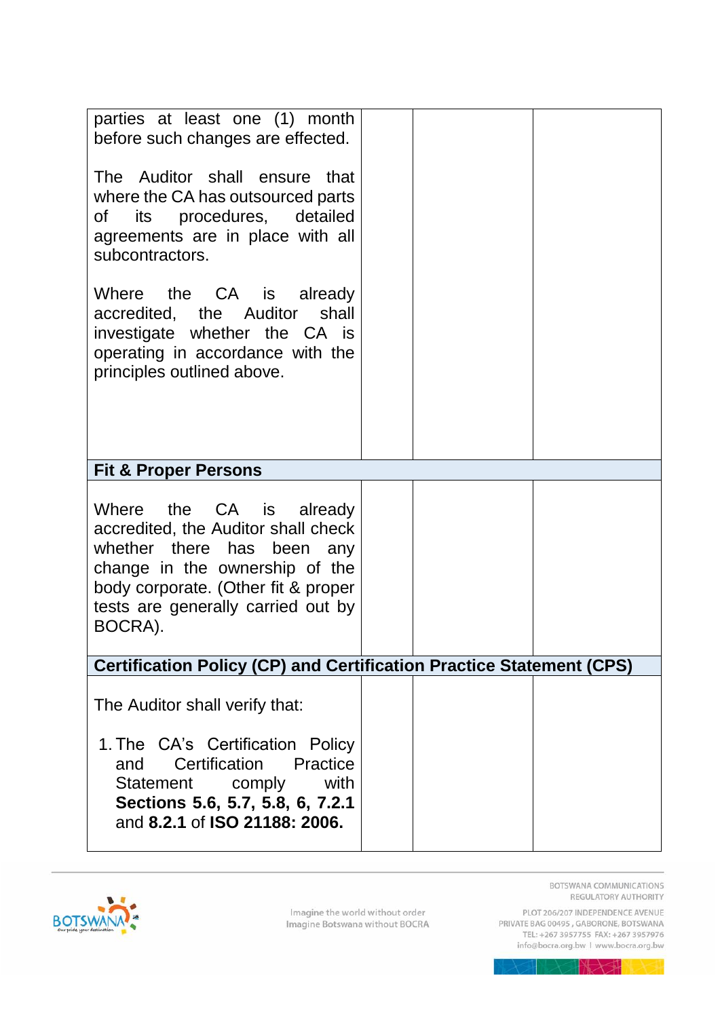| parties at least one (1) month<br>before such changes are effected.<br>The Auditor shall ensure that<br>where the CA has outsourced parts<br>of its procedures, detailed<br>agreements are in place with all<br>subcontractors. |  |  |
|---------------------------------------------------------------------------------------------------------------------------------------------------------------------------------------------------------------------------------|--|--|
| Where the CA is already<br>accredited, the Auditor shall<br>investigate whether the CA is<br>operating in accordance with the<br>principles outlined above.                                                                     |  |  |
| <b>Fit &amp; Proper Persons</b>                                                                                                                                                                                                 |  |  |
| Where the CA is already<br>accredited, the Auditor shall check<br>whether there has been any<br>change in the ownership of the<br>body corporate. (Other fit & proper<br>tests are generally carried out by<br>BOCRA).          |  |  |
| <b>Certification Policy (CP) and Certification Practice Statement (CPS)</b>                                                                                                                                                     |  |  |
| The Auditor shall verify that:<br>1. The CA's Certification Policy<br>Certification<br>Practice<br>and<br>with<br>Statement comply<br>Sections 5.6, 5.7, 5.8, 6, 7.2.1<br>and 8.2.1 of ISO 21188: 2006.                         |  |  |
|                                                                                                                                                                                                                                 |  |  |

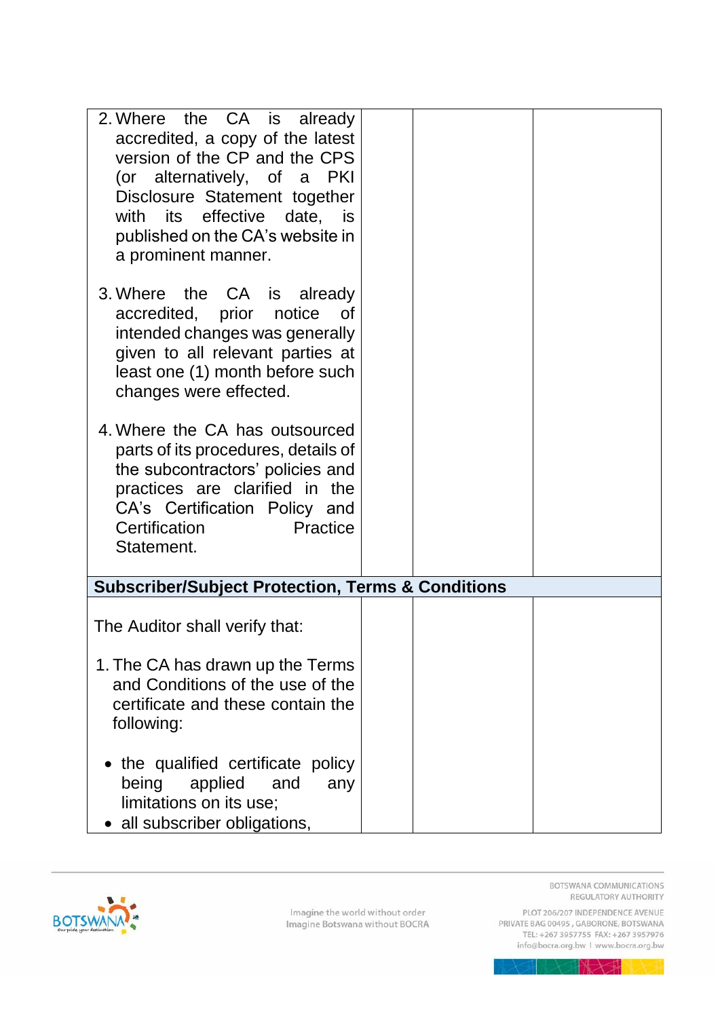| 2. Where the CA is already<br>accredited, a copy of the latest<br>version of the CP and the CPS<br>(or alternatively, of a PKI<br>Disclosure Statement together<br>with its effective date, is<br>published on the CA's website in<br>a prominent manner. |  |
|-----------------------------------------------------------------------------------------------------------------------------------------------------------------------------------------------------------------------------------------------------------|--|
| 3. Where the CA is already<br>accredited, prior notice of<br>intended changes was generally<br>given to all relevant parties at<br>least one (1) month before such<br>changes were effected.                                                              |  |
| 4. Where the CA has outsourced<br>parts of its procedures, details of<br>the subcontractors' policies and<br>practices are clarified in the<br>CA's Certification Policy and<br>Certification<br>Practice<br>Statement.                                   |  |
| <b>Subscriber/Subject Protection, Terms &amp; Conditions</b>                                                                                                                                                                                              |  |
| The Auditor shall verify that:                                                                                                                                                                                                                            |  |
| 1. The CA has drawn up the Terms<br>and Conditions of the use of the<br>certificate and these contain the<br>following:                                                                                                                                   |  |
| • the qualified certificate policy<br>being<br>applied<br>and<br>any<br>limitations on its use;<br>• all subscriber obligations,                                                                                                                          |  |

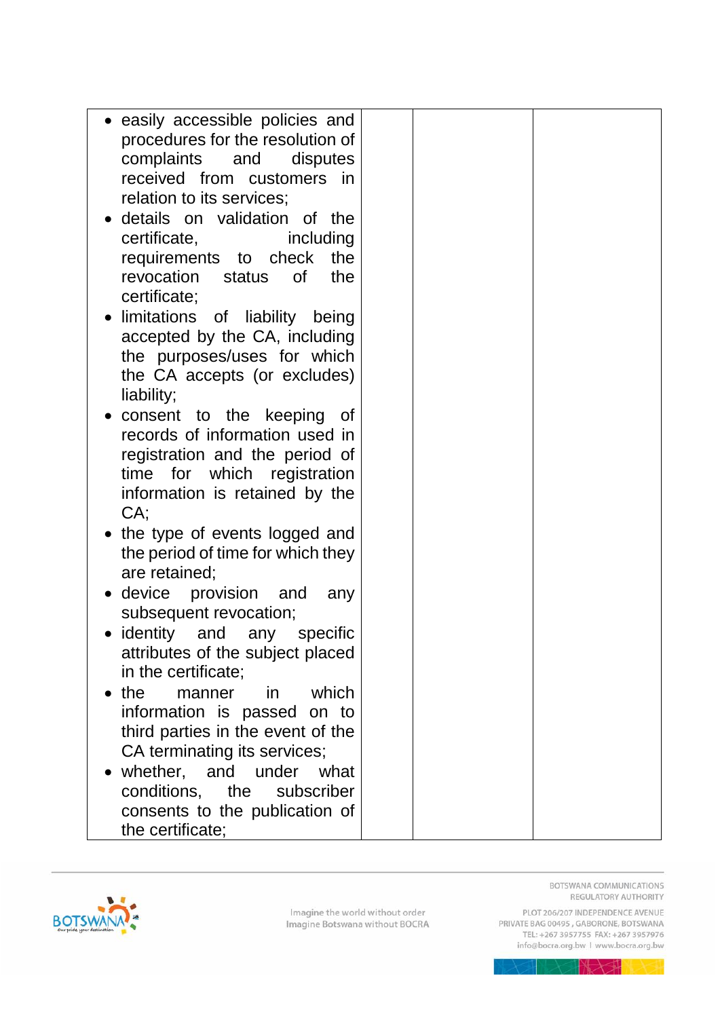| information is retained by the<br>CA;<br>• the type of events logged and<br>the period of time for which they<br>are retained;<br>• device provision and<br>any<br>subsequent revocation;<br>• identity and any specific<br>attributes of the subject placed<br>in the certificate;<br>$\bullet$ the<br>which<br>manner<br><i>in</i> |  |
|--------------------------------------------------------------------------------------------------------------------------------------------------------------------------------------------------------------------------------------------------------------------------------------------------------------------------------------|--|
| information is passed on to<br>third parties in the event of the<br>CA terminating its services;<br>whether, and under what                                                                                                                                                                                                          |  |



BOTSWANA COMMUNICATIONS REGULATORY AUTHORITY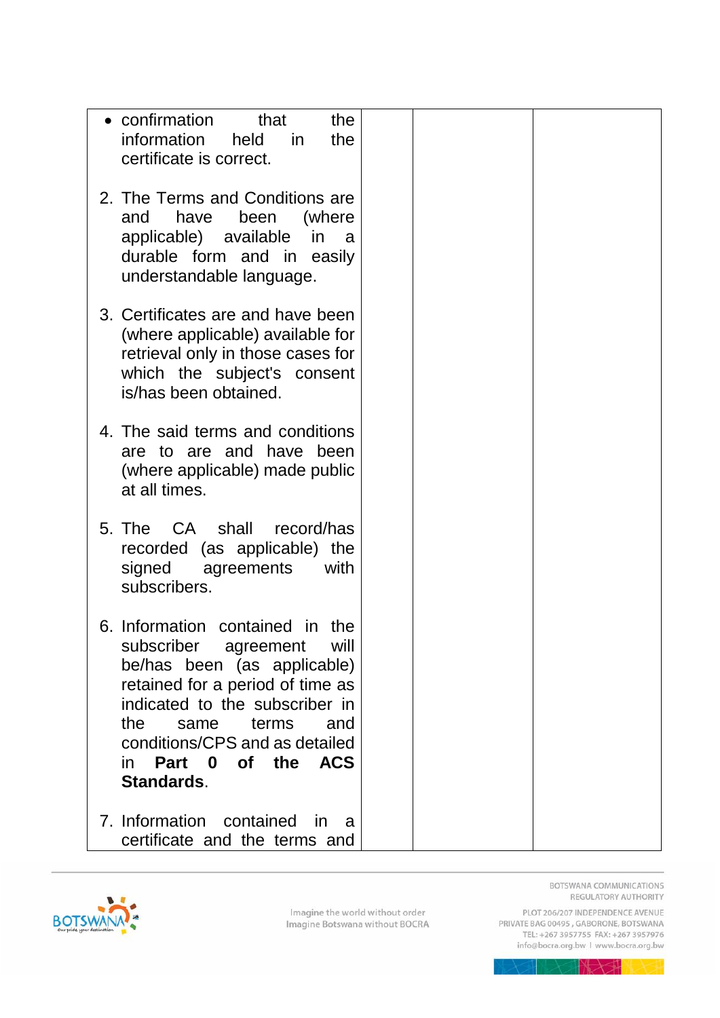| • confirmation<br>that<br>the<br>information<br>held<br>the<br>in<br>certificate is correct.                                                                                                                                                                                          |
|---------------------------------------------------------------------------------------------------------------------------------------------------------------------------------------------------------------------------------------------------------------------------------------|
| 2. The Terms and Conditions are<br>(where<br>and<br>have<br>been<br>applicable) available<br>in<br>a<br>durable form and in easily<br>understandable language.                                                                                                                        |
| 3. Certificates are and have been<br>(where applicable) available for<br>retrieval only in those cases for<br>which the subject's consent<br>is/has been obtained.                                                                                                                    |
| 4. The said terms and conditions<br>are to are and have been<br>(where applicable) made public<br>at all times.                                                                                                                                                                       |
| 5. The CA shall record/has<br>recorded (as applicable) the<br>signed<br>agreements<br>with<br>subscribers.                                                                                                                                                                            |
| 6. Information contained in<br>the<br>subscriber agreement<br>will<br>be/has been (as applicable)<br>retained for a period of time as<br>indicated to the subscriber in<br>the<br>same<br>terms<br>and<br>conditions/CPS and as detailed<br>of the ACS<br>Part 0<br>in.<br>Standards. |
| 7. Information contained<br>-in<br>a<br>certificate and the terms and                                                                                                                                                                                                                 |

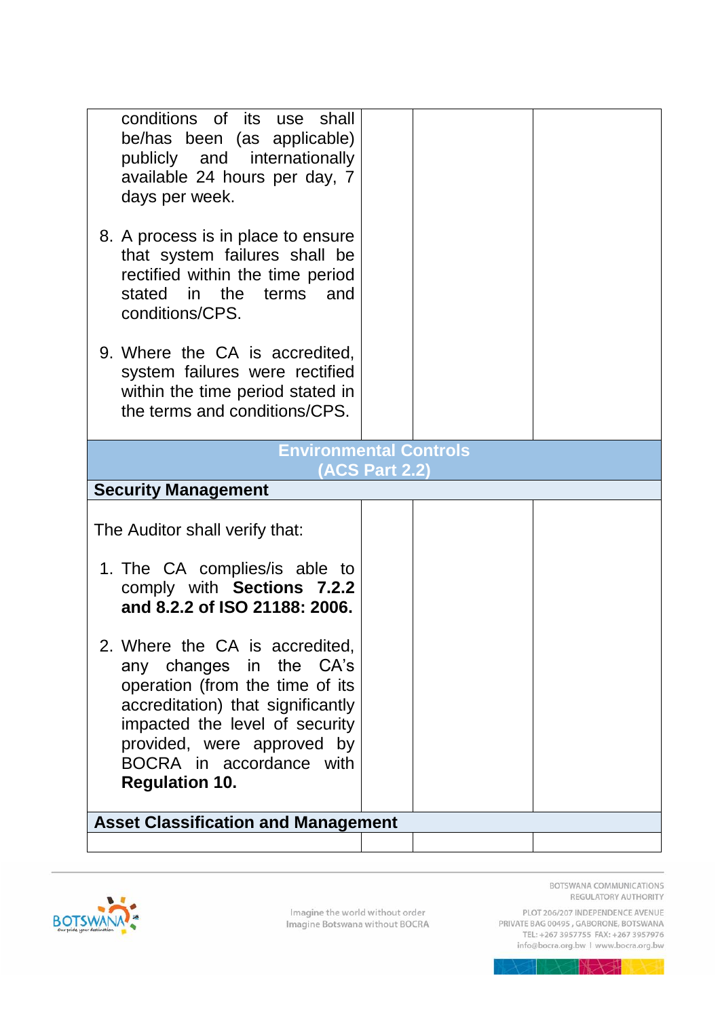| 1. The CA complies/is able to                                                                                                                                                                                        |  |
|----------------------------------------------------------------------------------------------------------------------------------------------------------------------------------------------------------------------|--|
| comply with Sections 7.2.2<br>and 8.2.2 of ISO 21188: 2006.<br>2. Where the CA is accredited,                                                                                                                        |  |
| any changes in the CA's<br>operation (from the time of its<br>accreditation) that significantly<br>impacted the level of security<br>provided, were approved by<br>BOCRA in accordance with<br><b>Regulation 10.</b> |  |
|                                                                                                                                                                                                                      |  |



REGULATORY AUTHORITY PLOT 206/207 INDEPENDENCE AVENUE<br>PRIVATE BAG 00495 , GABORONE, BOTSWANA<br>TEL: +267 3957755 FAX: +267 3957976

BOTSWANA COMMUNICATIONS

info@bocra.org.bw | www.bocra.org.bw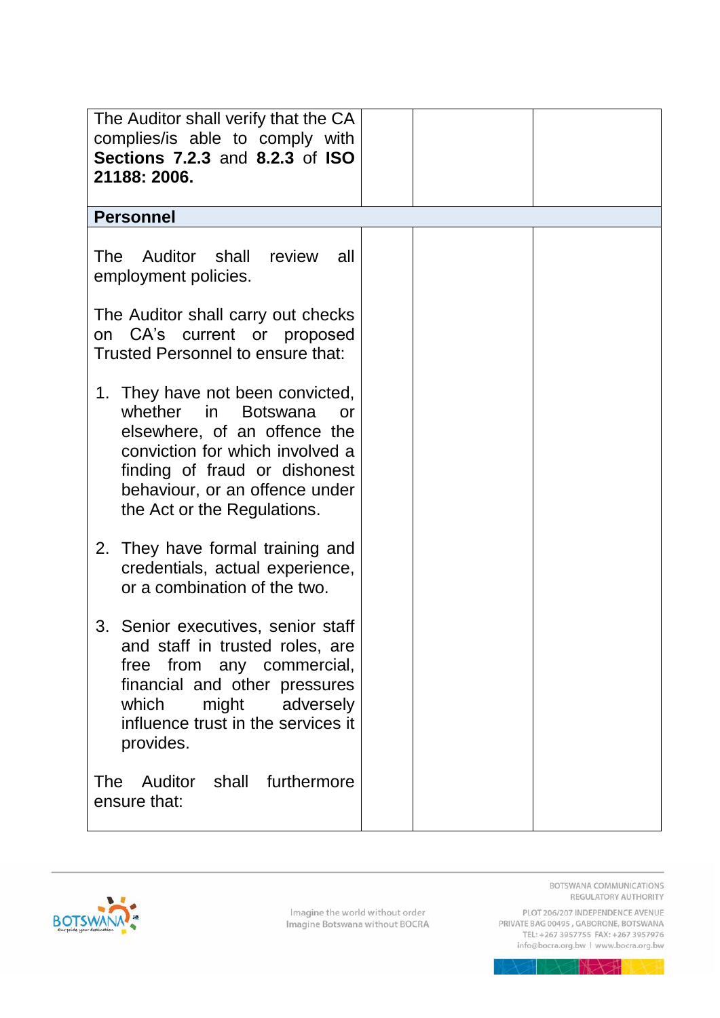| The Auditor shall verify that the CA<br>complies/is able to comply with<br><b>Sections 7.2.3 and 8.2.3 of ISO</b><br>21188: 2006.                                                                                                                         |  |
|-----------------------------------------------------------------------------------------------------------------------------------------------------------------------------------------------------------------------------------------------------------|--|
| <b>Personnel</b>                                                                                                                                                                                                                                          |  |
| Auditor shall review<br><b>The</b><br>all<br>employment policies.                                                                                                                                                                                         |  |
| The Auditor shall carry out checks<br>on CA's current or proposed<br>Trusted Personnel to ensure that:                                                                                                                                                    |  |
| 1. They have not been convicted,<br>whether<br>in in<br><b>Botswana</b><br><b>or</b><br>elsewhere, of an offence the<br>conviction for which involved a<br>finding of fraud or dishonest<br>behaviour, or an offence under<br>the Act or the Regulations. |  |
| 2. They have formal training and<br>credentials, actual experience,<br>or a combination of the two.                                                                                                                                                       |  |
| 3. Senior executives, senior staff<br>and staff in trusted roles, are<br>free from any commercial,<br>financial and other pressures<br>which<br>might adversely<br>influence trust in the services it<br>provides.                                        |  |
| The<br>Auditor<br>shall<br>furthermore<br>ensure that:                                                                                                                                                                                                    |  |



BOTSWANA COMMUNICATIONS REGULATORY AUTHORITY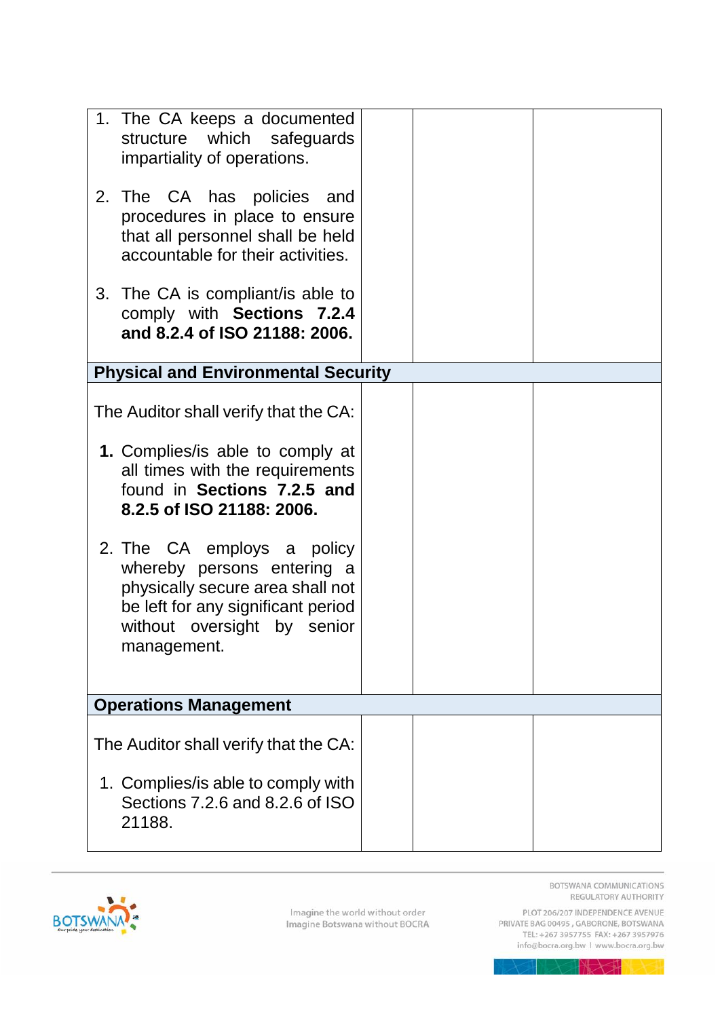| 1. The CA keeps a documented<br>structure which safeguards<br>impartiality of operations.                                                                                                                                                                                                                                                                    |  |
|--------------------------------------------------------------------------------------------------------------------------------------------------------------------------------------------------------------------------------------------------------------------------------------------------------------------------------------------------------------|--|
| 2. The CA has policies and<br>procedures in place to ensure<br>that all personnel shall be held<br>accountable for their activities.                                                                                                                                                                                                                         |  |
| 3. The CA is compliant/is able to<br>comply with Sections 7.2.4<br>and 8.2.4 of ISO 21188: 2006.                                                                                                                                                                                                                                                             |  |
| <b>Physical and Environmental Security</b>                                                                                                                                                                                                                                                                                                                   |  |
| The Auditor shall verify that the CA:<br>1. Complies/is able to comply at<br>all times with the requirements<br>found in Sections 7.2.5 and<br>8.2.5 of ISO 21188: 2006.<br>2. The CA employs a policy<br>whereby persons entering a<br>physically secure area shall not<br>be left for any significant period<br>without oversight by senior<br>management. |  |
| <b>Operations Management</b>                                                                                                                                                                                                                                                                                                                                 |  |
|                                                                                                                                                                                                                                                                                                                                                              |  |
| The Auditor shall verify that the CA:                                                                                                                                                                                                                                                                                                                        |  |
| 1. Complies/ is able to comply with<br>Sections 7.2.6 and 8.2.6 of ISO<br>21188.                                                                                                                                                                                                                                                                             |  |

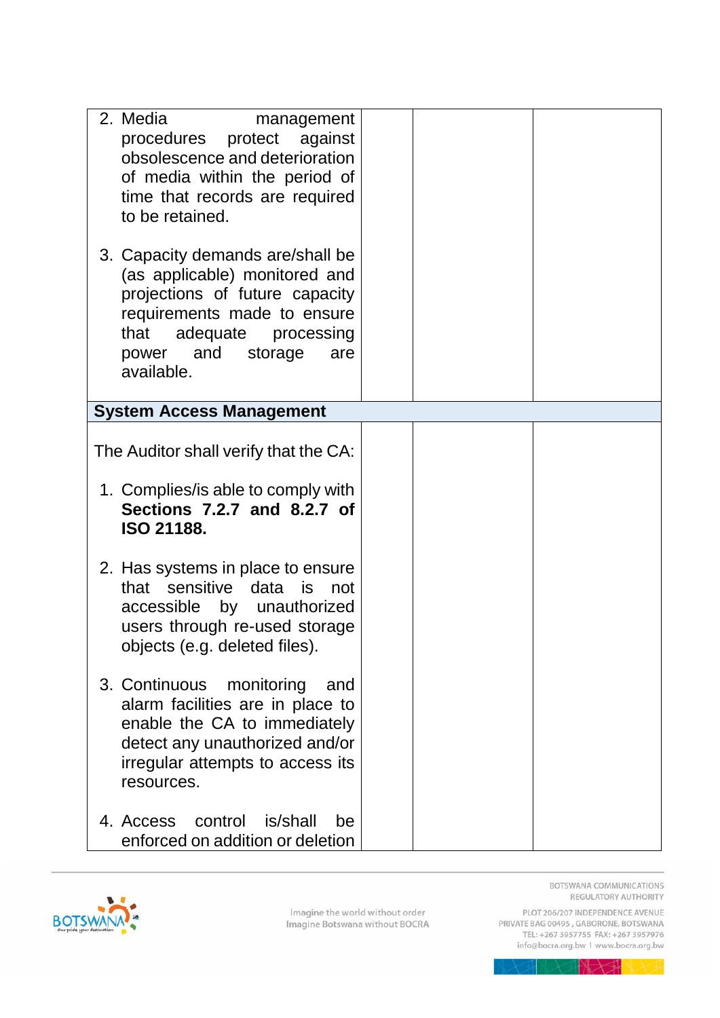| 2. Media<br>management<br>procedures protect against<br>obsolescence and deterioration<br>of media within the period of<br>time that records are required<br>to be retained.                             |  |
|----------------------------------------------------------------------------------------------------------------------------------------------------------------------------------------------------------|--|
| 3. Capacity demands are/shall be<br>(as applicable) monitored and<br>projections of future capacity<br>requirements made to ensure<br>that adequate processing<br>power and storage<br>are<br>available. |  |
| <b>System Access Management</b>                                                                                                                                                                          |  |
| The Auditor shall verify that the CA:<br>1. Complies/is able to comply with<br>Sections 7.2.7 and 8.2.7 of<br>ISO 21188.                                                                                 |  |
| 2. Has systems in place to ensure<br>that sensitive data is<br>not<br>accessible by unauthorized<br>users through re-used storage<br>objects (e.g. deleted files).                                       |  |
| 3. Continuous<br>monitoring<br>and<br>alarm facilities are in place to<br>enable the CA to immediately<br>detect any unauthorized and/or<br>irregular attempts to access its<br>resources.               |  |
| is/shall<br>4. Access<br>control<br>be<br>enforced on addition or deletion                                                                                                                               |  |

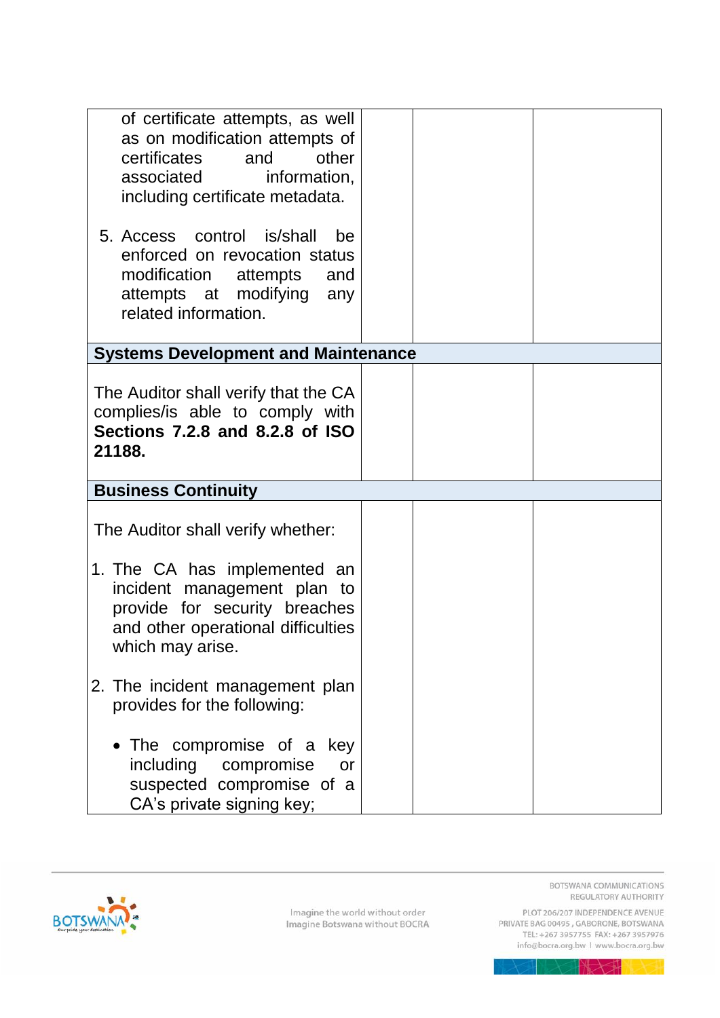| of certificate attempts, as well                                                                                                                             |  |
|--------------------------------------------------------------------------------------------------------------------------------------------------------------|--|
| as on modification attempts of                                                                                                                               |  |
| other<br>certificates<br>and                                                                                                                                 |  |
| information,<br>associated                                                                                                                                   |  |
| including certificate metadata.                                                                                                                              |  |
| 5. Access control is/shall<br>be<br>enforced on revocation status<br>modification<br>attempts<br>and<br>attempts at modifying<br>any<br>related information. |  |
| <b>Systems Development and Maintenance</b>                                                                                                                   |  |
|                                                                                                                                                              |  |
| The Auditor shall verify that the CA                                                                                                                         |  |
| complies/is able to comply with                                                                                                                              |  |
| Sections 7.2.8 and 8.2.8 of ISO                                                                                                                              |  |
| 21188.                                                                                                                                                       |  |
| <b>Business Continuity</b>                                                                                                                                   |  |
|                                                                                                                                                              |  |
| The Auditor shall verify whether:                                                                                                                            |  |
| 1. The CA has implemented an                                                                                                                                 |  |
| incident management plan to                                                                                                                                  |  |
| provide for security breaches                                                                                                                                |  |
| and other operational difficulties                                                                                                                           |  |
| which may arise.                                                                                                                                             |  |
| 2. The incident management plan                                                                                                                              |  |
| provides for the following:                                                                                                                                  |  |
|                                                                                                                                                              |  |
| The compromise of a<br>key                                                                                                                                   |  |
| including<br>compromise<br>or                                                                                                                                |  |
| suspected compromise of a                                                                                                                                    |  |
| CA's private signing key;                                                                                                                                    |  |



BOTSWANA COMMUNICATIONS REGULATORY AUTHORITY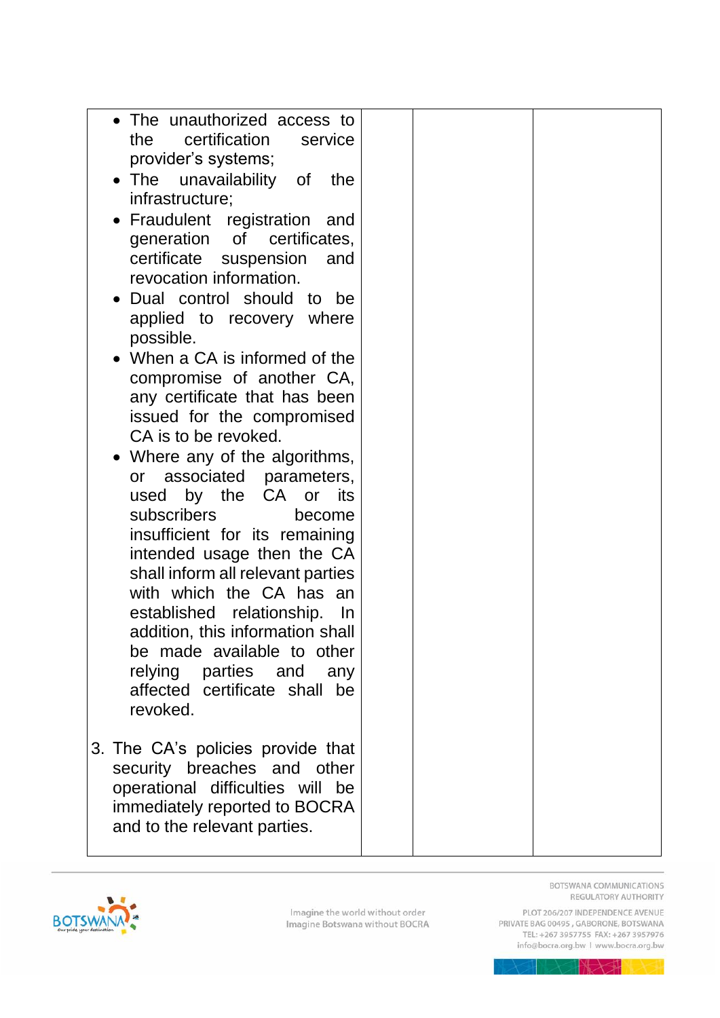| • The unauthorized access to<br>certification<br>the<br>service<br>provider's systems;                                                                                  |  |
|-------------------------------------------------------------------------------------------------------------------------------------------------------------------------|--|
| • The unavailability of<br>the<br>infrastructure;                                                                                                                       |  |
| • Fraudulent registration<br>and<br>generation of certificates,<br>certificate suspension<br>and<br>revocation information.                                             |  |
| Dual control should to be<br>applied to recovery where<br>possible.                                                                                                     |  |
| • When a CA is informed of the<br>compromise of another CA,<br>any certificate that has been<br>issued for the compromised<br>CA is to be revoked.                      |  |
| • Where any of the algorithms,<br>associated parameters,<br>or<br>used by the CA or its<br>subscribers<br>become                                                        |  |
| insufficient for its remaining<br>intended usage then the CA<br>shall inform all relevant parties<br>with which the CA has an<br>established relationship.<br><u>In</u> |  |
| addition, this information shall<br>be made available to other<br>relying parties and<br>any<br>affected certificate shall be<br>revoked.                               |  |
| 3. The CA's policies provide that<br>security breaches and other<br>operational difficulties will be<br>immediately reported to BOCRA<br>and to the relevant parties.   |  |

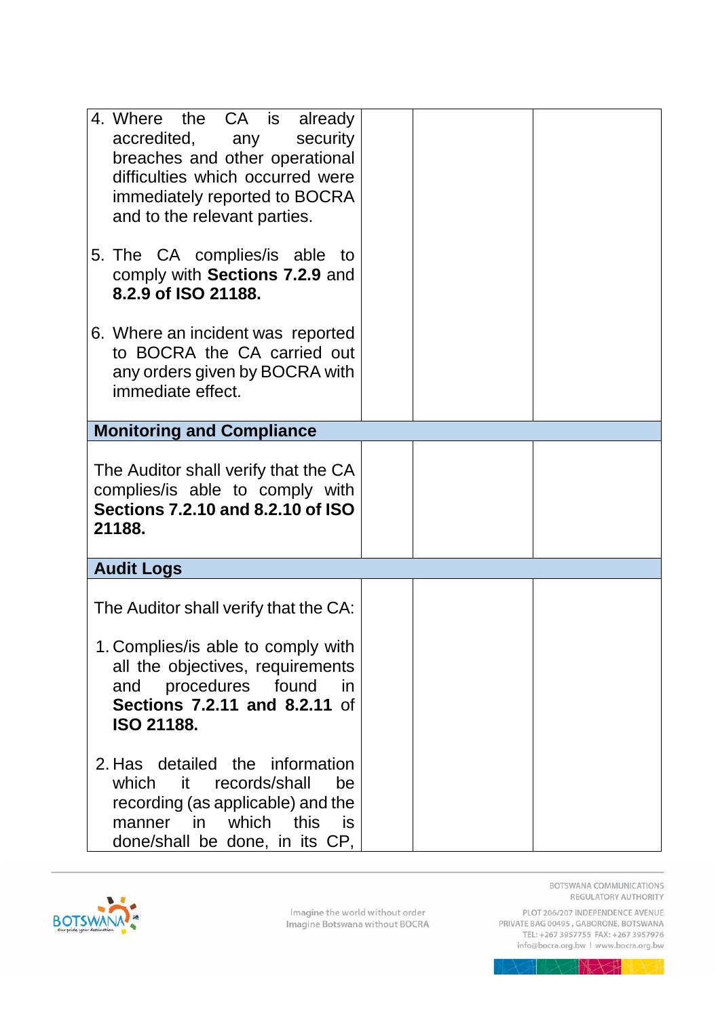| 4. Where the CA is already<br>accredited, any security<br>breaches and other operational<br>difficulties which occurred were<br>immediately reported to BOCRA<br>and to the relevant parties.               |  |
|-------------------------------------------------------------------------------------------------------------------------------------------------------------------------------------------------------------|--|
| 5. The CA complies/is able to<br>comply with Sections 7.2.9 and<br>8.2.9 of ISO 21188.                                                                                                                      |  |
| 6. Where an incident was reported<br>to BOCRA the CA carried out<br>any orders given by BOCRA with<br>immediate effect.                                                                                     |  |
| <b>Monitoring and Compliance</b>                                                                                                                                                                            |  |
| The Auditor shall verify that the CA<br>complies/is able to comply with<br>Sections 7.2.10 and 8.2.10 of ISO<br>21188.                                                                                      |  |
| <b>Audit Logs</b>                                                                                                                                                                                           |  |
| The Auditor shall verify that the CA:<br>1. Complies/is able to comply with<br>all the objectives, requirements<br>procedures<br>found<br>and<br>in.<br>Sections 7.2.11 and 8.2.11 of                       |  |
| <b>ISO 21188.</b><br>2. Has detailed the information<br>which<br>it i<br>records/shall<br>be<br>recording (as applicable) and the<br>which<br>this<br>manner<br>in.<br>is<br>done/shall be done, in its CP, |  |

<span id="page-16-0"></span>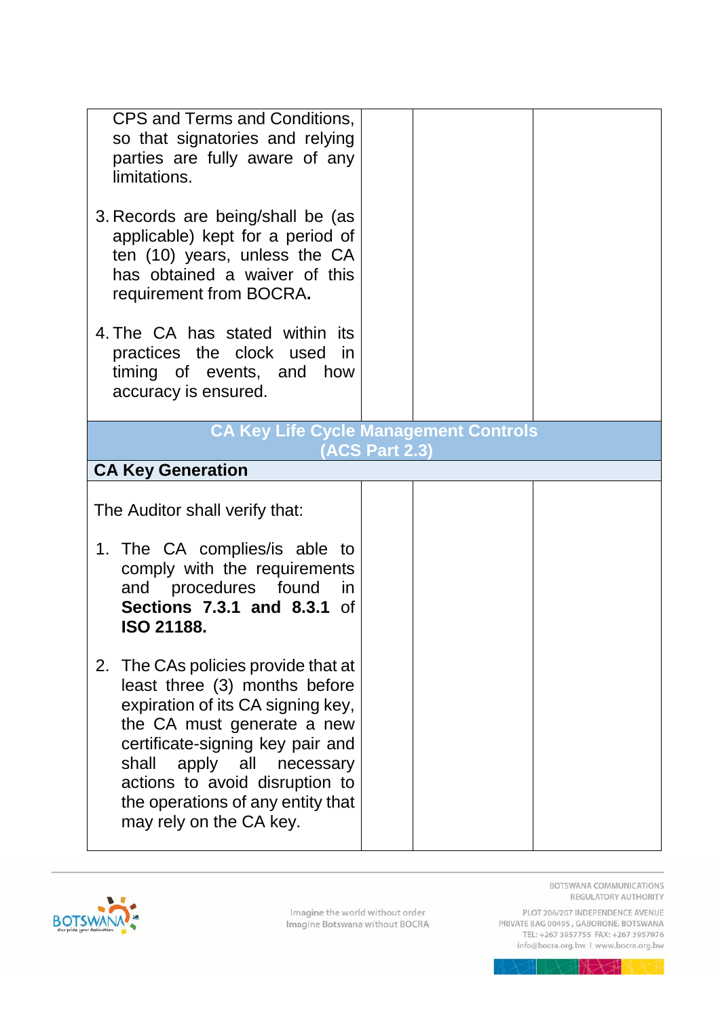| CPS and Terms and Conditions,<br>so that signatories and relying<br>parties are fully aware of any<br>limitations.                                                                                                                                                                                            |                       |  |
|---------------------------------------------------------------------------------------------------------------------------------------------------------------------------------------------------------------------------------------------------------------------------------------------------------------|-----------------------|--|
| 3. Records are being/shall be (as<br>applicable) kept for a period of<br>ten (10) years, unless the CA<br>has obtained a waiver of this<br>requirement from BOCRA.                                                                                                                                            |                       |  |
| 4. The CA has stated within its<br>practices the clock used in<br>timing of events, and how<br>accuracy is ensured.                                                                                                                                                                                           |                       |  |
| <b>CA Key Life Cycle Management Controls</b>                                                                                                                                                                                                                                                                  | <b>(ACS Part 2.3)</b> |  |
| <b>CA Key Generation</b>                                                                                                                                                                                                                                                                                      |                       |  |
| The Auditor shall verify that:                                                                                                                                                                                                                                                                                |                       |  |
| 1. The CA complies/is able to<br>comply with the requirements<br>and procedures found<br><i>in</i><br><b>Sections 7.3.1 and 8.3.1 of</b><br><b>ISO 21188.</b>                                                                                                                                                 |                       |  |
| 2. The CAs policies provide that at<br>least three (3) months before<br>expiration of its CA signing key,<br>the CA must generate a new<br>certificate-signing key pair and<br>apply all necessary<br>shall<br>actions to avoid disruption to<br>the operations of any entity that<br>may rely on the CA key. |                       |  |

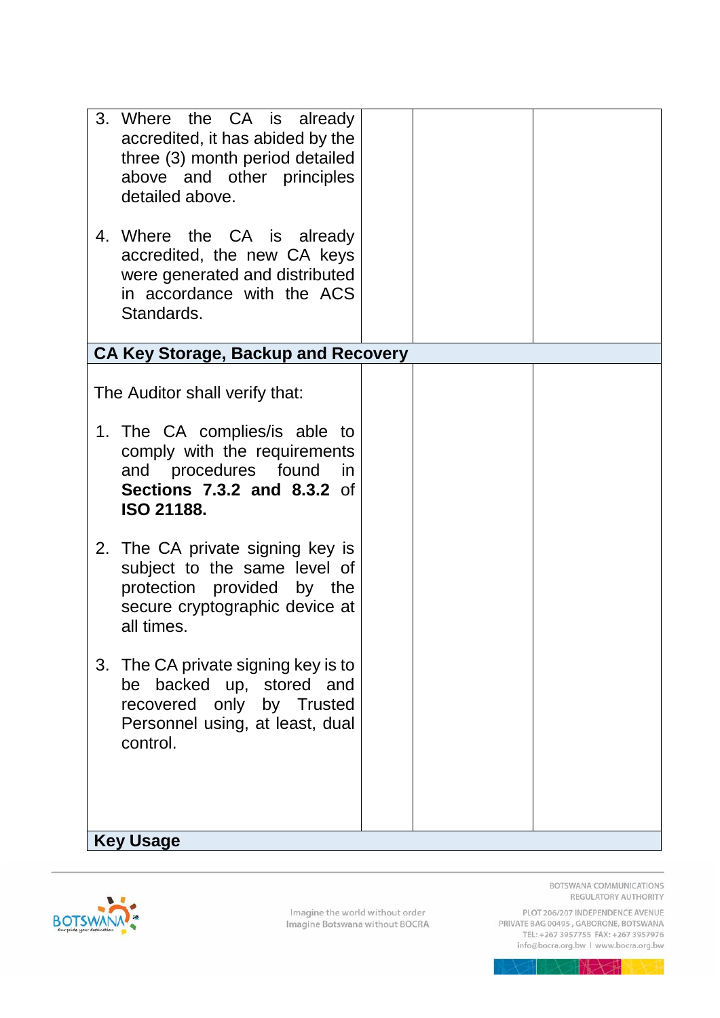| 3. Where the CA is already<br>accredited, it has abided by the<br>three (3) month period detailed<br>above and other principles<br>detailed above.<br>4. Where the CA is already<br>accredited, the new CA keys<br>were generated and distributed<br>in accordance with the ACS<br>Standards. |  |
|-----------------------------------------------------------------------------------------------------------------------------------------------------------------------------------------------------------------------------------------------------------------------------------------------|--|
| <b>CA Key Storage, Backup and Recovery</b>                                                                                                                                                                                                                                                    |  |
| The Auditor shall verify that:                                                                                                                                                                                                                                                                |  |
| 1. The CA complies/is able to<br>comply with the requirements<br>and procedures found<br>in.<br><b>Sections 7.3.2 and 8.3.2 of</b><br><b>ISO 21188.</b>                                                                                                                                       |  |
| 2. The CA private signing key is<br>subject to the same level of<br>protection provided by the<br>secure cryptographic device at<br>all times.                                                                                                                                                |  |
| 3. The CA private signing key is to<br>be backed up, stored and<br>recovered only by Trusted<br>Personnel using, at least, dual<br>control.                                                                                                                                                   |  |
| <b>Key Usage</b>                                                                                                                                                                                                                                                                              |  |



BOTSWANA COMMUNICATIONS REGULATORY AUTHORITY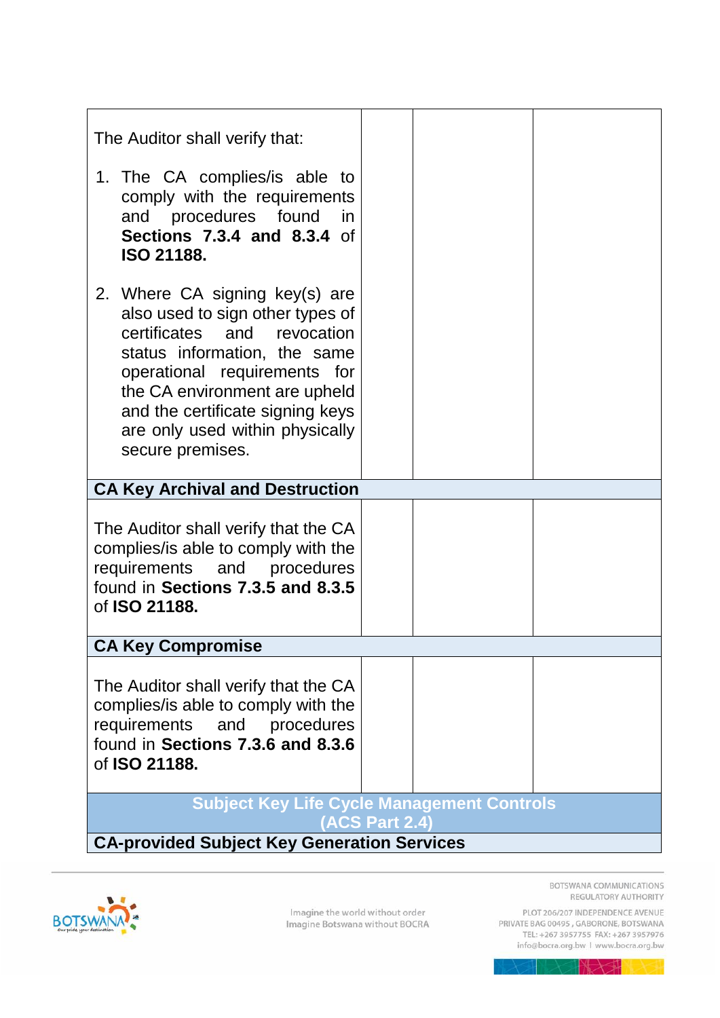| The Auditor shall verify that:                                                                                                                                                                                                                                                                |  |  |
|-----------------------------------------------------------------------------------------------------------------------------------------------------------------------------------------------------------------------------------------------------------------------------------------------|--|--|
| 1. The CA complies/ is able to<br>comply with the requirements<br>and procedures found<br>in<br><b>Sections 7.3.4 and 8.3.4 of</b><br><b>ISO 21188.</b>                                                                                                                                       |  |  |
| 2. Where CA signing key(s) are<br>also used to sign other types of<br>certificates and revocation<br>status information, the same<br>operational requirements for<br>the CA environment are upheld<br>and the certificate signing keys<br>are only used within physically<br>secure premises. |  |  |
| <b>CA Key Archival and Destruction</b>                                                                                                                                                                                                                                                        |  |  |
| The Auditor shall verify that the CA<br>complies/is able to comply with the<br>requirements and procedures<br>found in Sections 7.3.5 and 8.3.5<br>of <b>ISO 21188.</b>                                                                                                                       |  |  |
| <b>CA Key Compromise</b>                                                                                                                                                                                                                                                                      |  |  |
| The Auditor shall verify that the CA<br>complies/is able to comply with the<br>requirements<br>and procedures<br>found in Sections 7.3.6 and 8.3.6<br>of ISO 21188.                                                                                                                           |  |  |
| <b>Subject Key Life Cycle Management Controls</b><br><b>(ACS Part 2.4)</b>                                                                                                                                                                                                                    |  |  |
| <b>CA-provided Subject Key Generation Services</b>                                                                                                                                                                                                                                            |  |  |



BOTSWANA COMMUNICATIONS REGULATORY AUTHORITY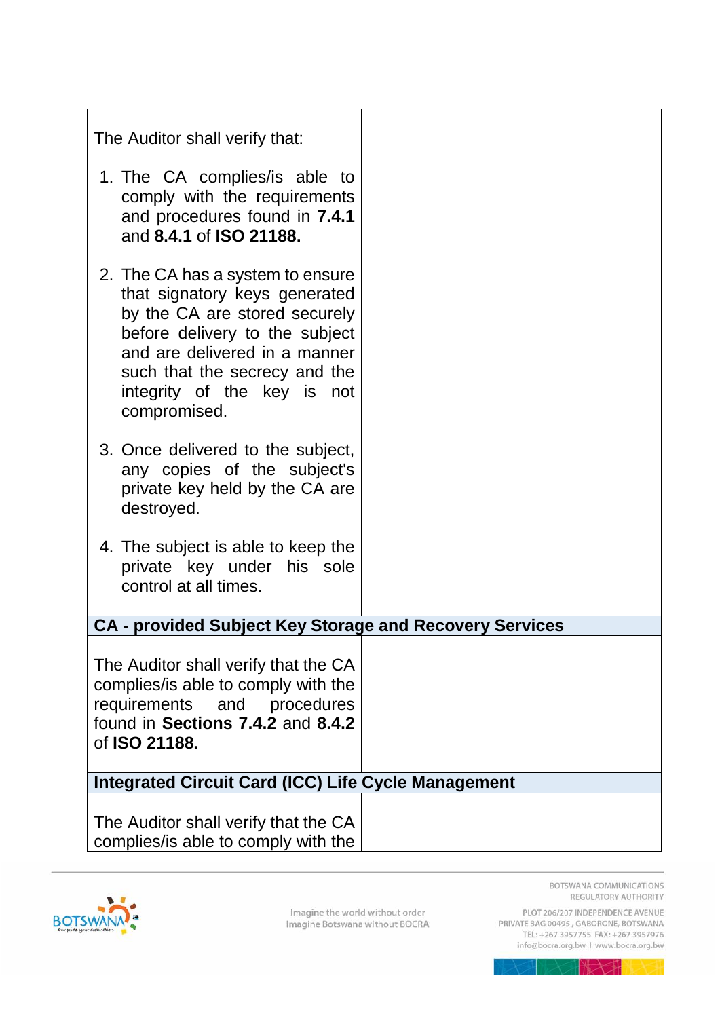| The Auditor shall verify that:                                                                                                                                                                                                                        |  |
|-------------------------------------------------------------------------------------------------------------------------------------------------------------------------------------------------------------------------------------------------------|--|
| 1. The CA complies/is able to<br>comply with the requirements<br>and procedures found in 7.4.1<br>and 8.4.1 of ISO 21188.                                                                                                                             |  |
| 2. The CA has a system to ensure<br>that signatory keys generated<br>by the CA are stored securely<br>before delivery to the subject<br>and are delivered in a manner<br>such that the secrecy and the<br>integrity of the key is not<br>compromised. |  |
| 3. Once delivered to the subject,<br>any copies of the subject's<br>private key held by the CA are<br>destroyed.                                                                                                                                      |  |
| 4. The subject is able to keep the<br>private key under his sole<br>control at all times.                                                                                                                                                             |  |
| <b>CA - provided Subject Key Storage and Recovery Services</b>                                                                                                                                                                                        |  |
| The Auditor shall verify that the CA<br>complies/is able to comply with the<br>requirements and procedures<br>found in Sections 7.4.2 and 8.4.2<br>of ISO 21188.                                                                                      |  |
| <b>Integrated Circuit Card (ICC) Life Cycle Management</b>                                                                                                                                                                                            |  |
| The Auditor shall verify that the CA<br>complies/is able to comply with the                                                                                                                                                                           |  |



BOTSWANA COMMUNICATIONS REGULATORY AUTHORITY PLOT 206/207 INDEPENDENCE AVENUE<br>PRIVATE BAG 00495 , GABORONE, BOTSWANA<br>TEL: +267 3957755 FAX: +267 3957976

info@bocra.org.bw | www.bocra.org.bw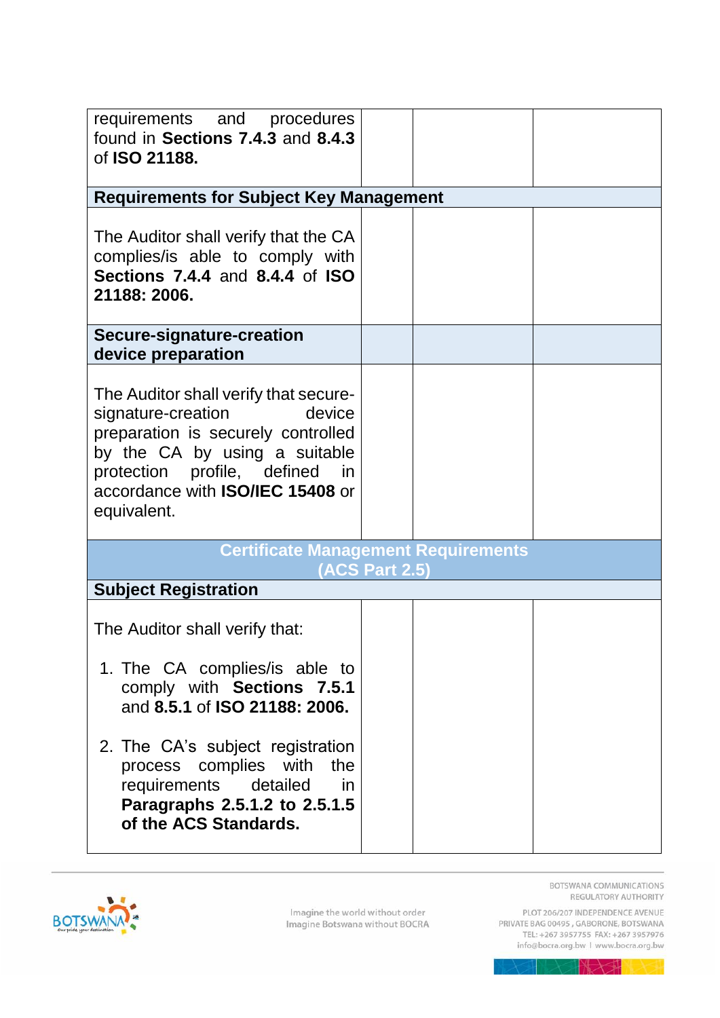| requirements and procedures<br>found in Sections 7.4.3 and 8.4.3<br>of <b>ISO 21188.</b>                                                                                                                                                 |                       |  |  |
|------------------------------------------------------------------------------------------------------------------------------------------------------------------------------------------------------------------------------------------|-----------------------|--|--|
| <b>Requirements for Subject Key Management</b>                                                                                                                                                                                           |                       |  |  |
| The Auditor shall verify that the CA<br>complies/is able to comply with<br><b>Sections 7.4.4 and 8.4.4 of ISO</b><br>21188: 2006.                                                                                                        |                       |  |  |
| Secure-signature-creation<br>device preparation                                                                                                                                                                                          |                       |  |  |
| The Auditor shall verify that secure-<br>device<br>signature-creation<br>preparation is securely controlled<br>by the CA by using a suitable<br>protection profile, defined in<br>accordance with <b>ISO/IEC 15408</b> or<br>equivalent. |                       |  |  |
| <b>Certificate Management Requirements</b>                                                                                                                                                                                               | <b>(ACS Part 2.5)</b> |  |  |
| <b>Subject Registration</b>                                                                                                                                                                                                              |                       |  |  |
| The Auditor shall verify that:                                                                                                                                                                                                           |                       |  |  |
| 1. The CA complies/ is able to<br>comply with Sections 7.5.1<br>and 8.5.1 of ISO 21188: 2006.                                                                                                                                            |                       |  |  |
| 2. The CA's subject registration<br>process complies with the<br>requirements detailed in<br>Paragraphs 2.5.1.2 to 2.5.1.5<br>of the ACS Standards.                                                                                      |                       |  |  |

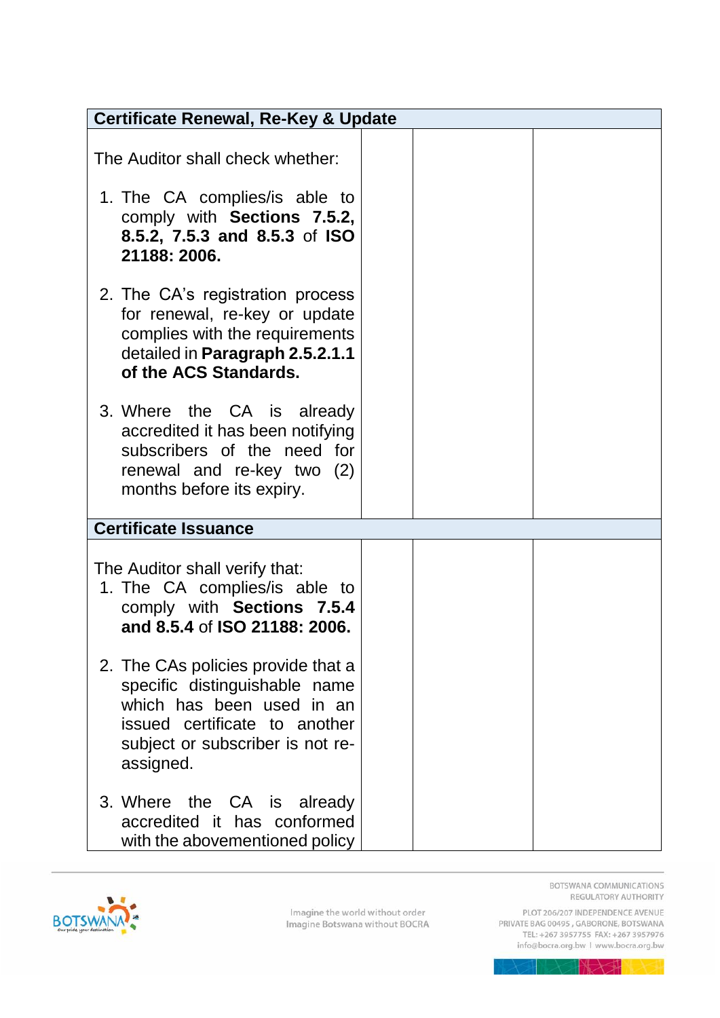| <b>Certificate Renewal, Re-Key &amp; Update</b>                                                                                                                                    |  |  |  |
|------------------------------------------------------------------------------------------------------------------------------------------------------------------------------------|--|--|--|
| The Auditor shall check whether:                                                                                                                                                   |  |  |  |
| 1. The CA complies/is able to<br>comply with Sections 7.5.2,<br>8.5.2, 7.5.3 and 8.5.3 of ISO<br>21188: 2006.                                                                      |  |  |  |
| 2. The CA's registration process<br>for renewal, re-key or update<br>complies with the requirements<br>detailed in Paragraph 2.5.2.1.1<br>of the ACS Standards.                    |  |  |  |
| 3. Where the CA is already<br>accredited it has been notifying<br>subscribers of the need for<br>renewal and re-key two (2)<br>months before its expiry.                           |  |  |  |
| <b>Certificate Issuance</b>                                                                                                                                                        |  |  |  |
| The Auditor shall verify that:<br>1. The CA complies/is able to<br>comply with Sections 7.5.4<br>and 8.5.4 of ISO 21188: 2006.                                                     |  |  |  |
| 2. The CAs policies provide that a<br>specific distinguishable name<br>which has been used in an<br>issued certificate to another<br>subject or subscriber is not re-<br>assigned. |  |  |  |
| 3. Where the CA is already<br>accredited it has conformed<br>with the abovementioned policy                                                                                        |  |  |  |

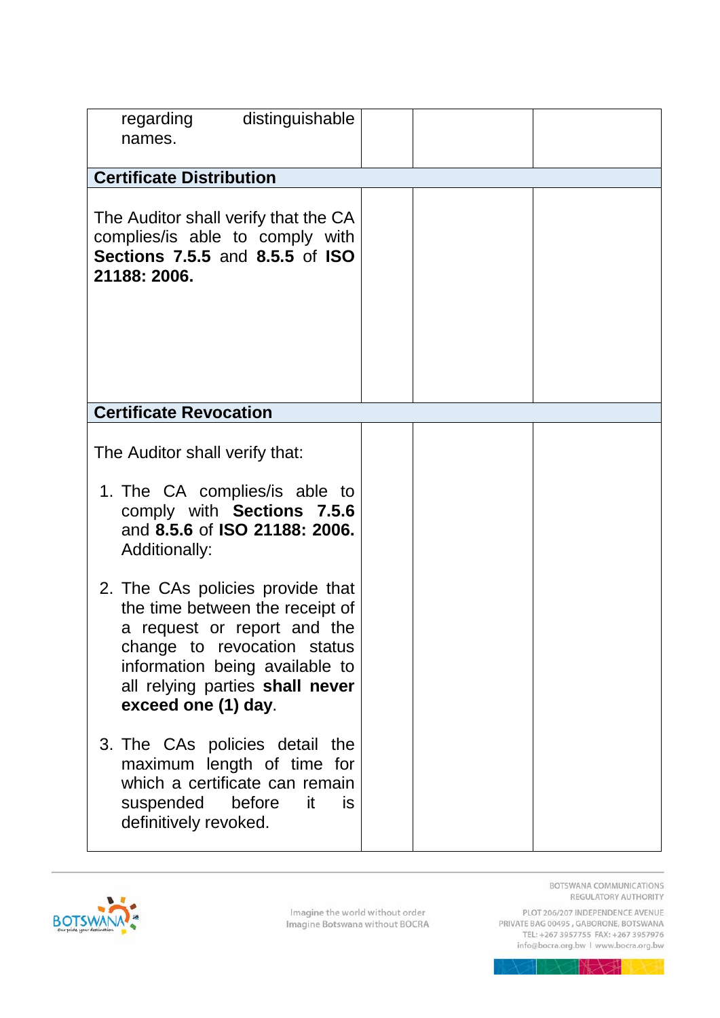| distinguishable<br>regarding<br>names.                                                                                                                                                                                        |  |
|-------------------------------------------------------------------------------------------------------------------------------------------------------------------------------------------------------------------------------|--|
| <b>Certificate Distribution</b>                                                                                                                                                                                               |  |
| The Auditor shall verify that the CA<br>complies/is able to comply with<br>Sections 7.5.5 and 8.5.5 of ISO<br>21188: 2006.                                                                                                    |  |
|                                                                                                                                                                                                                               |  |
| <b>Certificate Revocation</b>                                                                                                                                                                                                 |  |
| The Auditor shall verify that:                                                                                                                                                                                                |  |
| 1. The CA complies/is able to<br>comply with Sections 7.5.6<br>and 8.5.6 of ISO 21188: 2006.<br><b>Additionally:</b>                                                                                                          |  |
| 2. The CAs policies provide that<br>the time between the receipt of<br>a request or report and the<br>change to revocation status<br>information being available to<br>all relying parties shall never<br>exceed one (1) day. |  |
| 3. The CAs policies detail the<br>maximum length of time for<br>which a certificate can remain<br>before<br>is.<br>suspended<br>it.<br>definitively revoked.                                                                  |  |

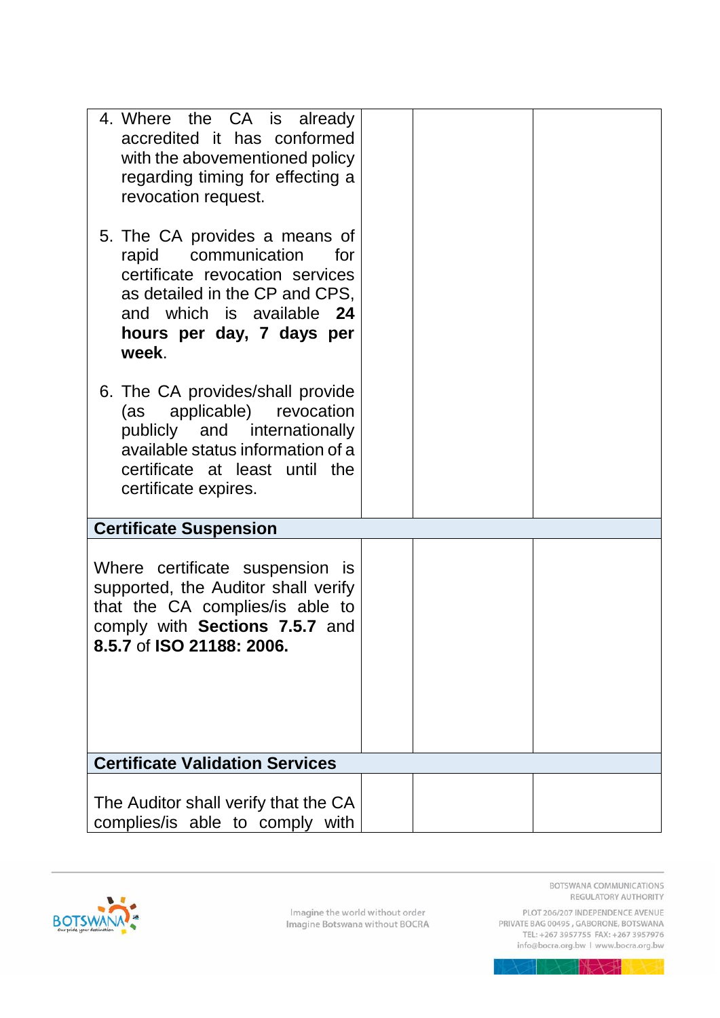| 4. Where the CA is already<br>accredited it has conformed<br>with the abovementioned policy<br>regarding timing for effecting a<br>revocation request.<br>5. The CA provides a means of<br>rapid communication<br>for<br>certificate revocation services<br>as detailed in the CP and CPS,<br>and which is available 24<br>hours per day, 7 days per<br>week. |  |
|---------------------------------------------------------------------------------------------------------------------------------------------------------------------------------------------------------------------------------------------------------------------------------------------------------------------------------------------------------------|--|
| 6. The CA provides/shall provide<br>(as applicable)<br>revocation<br>publicly and internationally<br>available status information of a<br>certificate at least until the<br>certificate expires.                                                                                                                                                              |  |
| <b>Certificate Suspension</b>                                                                                                                                                                                                                                                                                                                                 |  |
| Where certificate suspension is<br>supported, the Auditor shall verify<br>that the CA complies/is able to<br>comply with Sections 7.5.7 and<br>8.5.7 of ISO 21188: 2006.                                                                                                                                                                                      |  |
| <b>Certificate Validation Services</b>                                                                                                                                                                                                                                                                                                                        |  |
| The Auditor shall verify that the CA<br>complies/is able to comply with                                                                                                                                                                                                                                                                                       |  |



REGULATORY AUTHORITY PLOT 206/207 INDEPENDENCE AVENUE<br>PRIVATE BAG 00495 , GABORONE, BOTSWANA<br>TEL: +267 3957755 FAX: +267 3957976

BOTSWANA COMMUNICATIONS

info@bocra.org.bw | www.bocra.org.bw